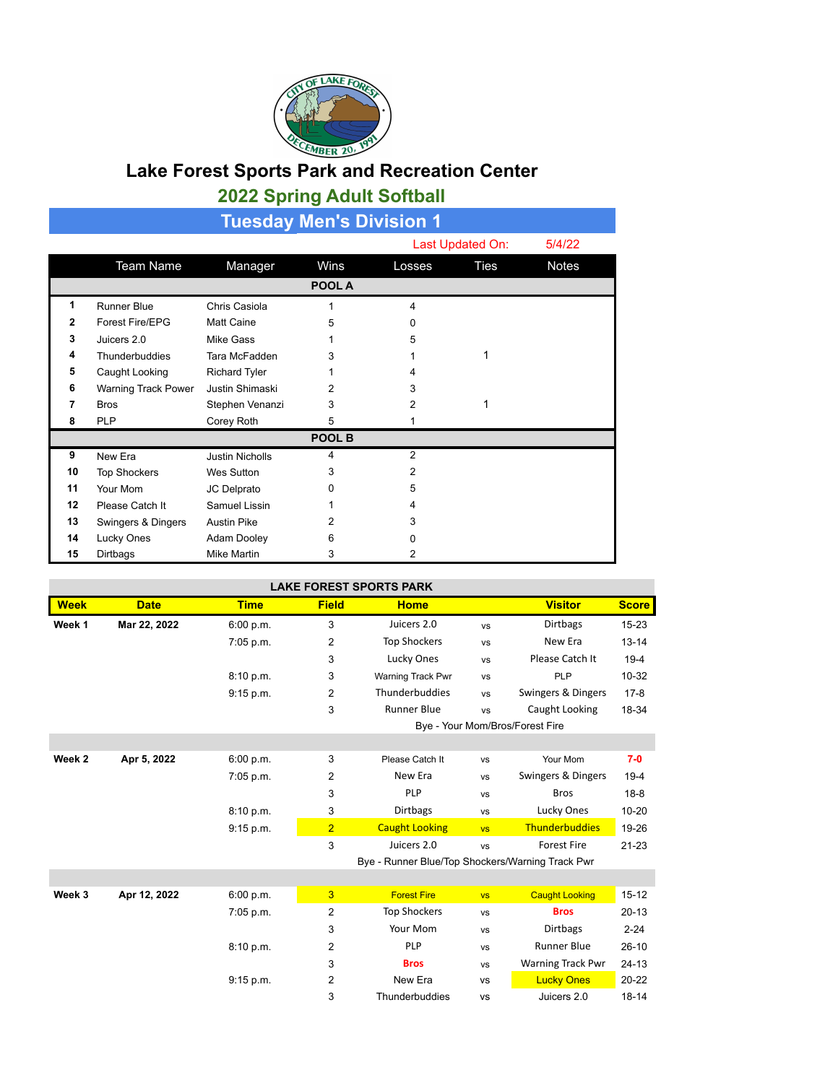

## **Lake Forest Sports Park and Recreation Center 2022 Spring Adult Softball**

| <b>Tuesday Men's Division 1</b> |                     |                        |        |        |                  |              |  |
|---------------------------------|---------------------|------------------------|--------|--------|------------------|--------------|--|
|                                 |                     |                        |        |        | Last Updated On: |              |  |
|                                 | <b>Team Name</b>    | Manager                | Wins   | Losses | Ties             | <b>Notes</b> |  |
| POOL A                          |                     |                        |        |        |                  |              |  |
| 1                               | <b>Runner Blue</b>  | Chris Casiola          |        | 4      |                  |              |  |
| 2                               | Forest Fire/EPG     | <b>Matt Caine</b>      | 5      | 0      |                  |              |  |
| 3                               | Juicers 2.0         | Mike Gass              |        | 5      |                  |              |  |
| 4                               | Thunderbuddies      | Tara McFadden          | 3      |        | 1                |              |  |
| 5                               | Caught Looking      | <b>Richard Tyler</b>   |        | 4      |                  |              |  |
| 6                               | Warning Track Power | Justin Shimaski        | 2      | 3      |                  |              |  |
| 7                               | <b>Bros</b>         | Stephen Venanzi        | 3      | 2      | 1                |              |  |
| 8                               | <b>PLP</b>          | Corey Roth             | 5      |        |                  |              |  |
|                                 |                     |                        | POOL B |        |                  |              |  |
| 9                               | New Era             | <b>Justin Nicholls</b> | 4      | 2      |                  |              |  |
| 10                              | <b>Top Shockers</b> | Wes Sutton             | 3      | 2      |                  |              |  |
| 11                              | Your Mom            | JC Delprato            | O      | 5      |                  |              |  |
| 12                              | Please Catch It     | Samuel Lissin          |        | 4      |                  |              |  |
| 13                              | Swingers & Dingers  | <b>Austin Pike</b>     | 2      | 3      |                  |              |  |
| 14                              | Lucky Ones          | Adam Dooley            | 6      | U      |                  |              |  |
| 15                              | Dirtbags            | <b>Mike Martin</b>     | 3      | 2      |                  |              |  |

| <b>LAKE FOREST SPORTS PARK</b> |              |             |                |                                                  |           |                                 |              |
|--------------------------------|--------------|-------------|----------------|--------------------------------------------------|-----------|---------------------------------|--------------|
| <b>Week</b>                    | <b>Date</b>  | <b>Time</b> | <b>Field</b>   | <b>Home</b>                                      |           | <b>Visitor</b>                  | <b>Score</b> |
| Week 1                         | Mar 22, 2022 | 6:00 p.m.   | 3              | Juicers 2.0                                      | <b>VS</b> | <b>Dirtbags</b>                 | $15 - 23$    |
|                                |              | 7:05 p.m.   | $\overline{2}$ | <b>Top Shockers</b>                              | <b>VS</b> | New Era                         | $13 - 14$    |
|                                |              |             | 3              | Lucky Ones                                       | <b>VS</b> | Please Catch It                 | $19-4$       |
|                                |              | 8:10 p.m.   | 3              | Warning Track Pwr                                | <b>VS</b> | PLP                             | $10 - 32$    |
|                                |              | 9:15 p.m.   | 2              | Thunderbuddies                                   | <b>VS</b> | Swingers & Dingers              | $17-8$       |
|                                |              |             | 3              | <b>Runner Blue</b>                               | <b>VS</b> | Caught Looking                  | 18-34        |
|                                |              |             |                |                                                  |           | Bye - Your Mom/Bros/Forest Fire |              |
|                                |              |             |                |                                                  |           |                                 |              |
| Week 2                         | Apr 5, 2022  | 6:00 p.m.   | 3              | Please Catch It                                  | <b>VS</b> | Your Mom                        | $7-0$        |
|                                |              | 7:05 p.m.   | 2              | New Era                                          | <b>VS</b> | Swingers & Dingers              | $19-4$       |
|                                |              |             | 3              | PLP                                              | <b>VS</b> | <b>Bros</b>                     | $18 - 8$     |
|                                |              | 8:10 p.m.   | 3              | <b>Dirtbags</b>                                  | <b>VS</b> | Lucky Ones                      | $10 - 20$    |
|                                |              | 9:15 p.m.   | $\overline{2}$ | <b>Caught Looking</b>                            | <b>VS</b> | <b>Thunderbuddies</b>           | 19-26        |
|                                |              |             | 3              | Juicers 2.0                                      | <b>VS</b> | <b>Forest Fire</b>              | $21 - 23$    |
|                                |              |             |                | Bye - Runner Blue/Top Shockers/Warning Track Pwr |           |                                 |              |
|                                |              |             |                |                                                  |           |                                 |              |
| Week 3                         | Apr 12, 2022 | 6:00 p.m.   | 3              | <b>Forest Fire</b>                               | <b>VS</b> | <b>Caught Looking</b>           | $15 - 12$    |
|                                |              | 7:05 p.m.   | $\overline{2}$ | <b>Top Shockers</b>                              | <b>VS</b> | <b>Bros</b>                     | $20 - 13$    |
|                                |              |             | 3              | Your Mom                                         | <b>VS</b> | <b>Dirtbags</b>                 | $2 - 24$     |
|                                |              | 8:10 p.m.   | 2              | PLP                                              | <b>VS</b> | <b>Runner Blue</b>              | $26-10$      |
|                                |              |             | 3              | <b>Bros</b>                                      | <b>VS</b> | <b>Warning Track Pwr</b>        | $24 - 13$    |
|                                |              | 9:15 p.m.   | 2              | New Era                                          | <b>VS</b> | <b>Lucky Ones</b>               | $20 - 22$    |
|                                |              |             | 3              | Thunderbuddies                                   | <b>VS</b> | Juicers 2.0                     | $18 - 14$    |